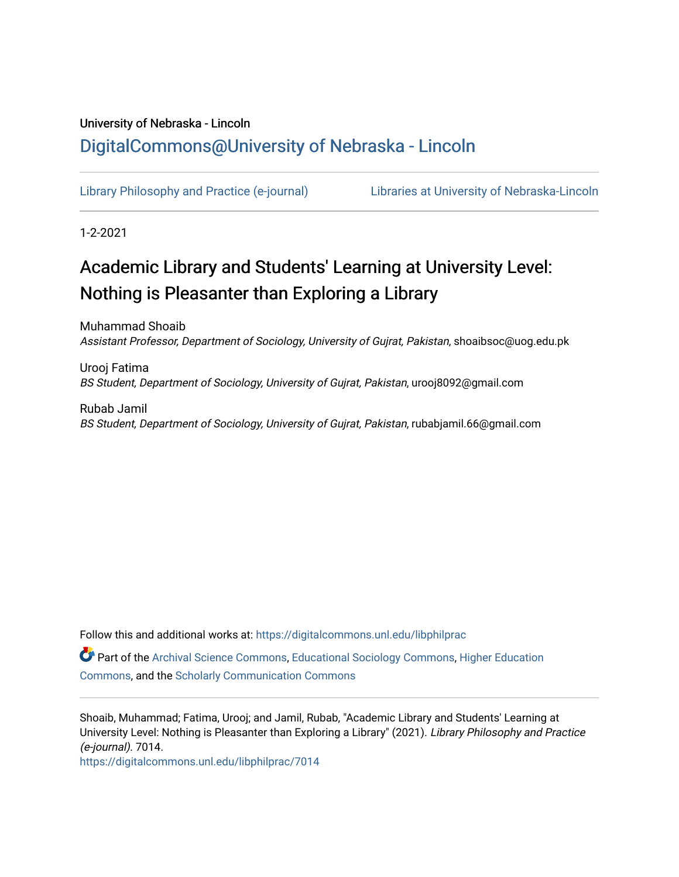## University of Nebraska - Lincoln [DigitalCommons@University of Nebraska - Lincoln](https://digitalcommons.unl.edu/)

[Library Philosophy and Practice \(e-journal\)](https://digitalcommons.unl.edu/libphilprac) [Libraries at University of Nebraska-Lincoln](https://digitalcommons.unl.edu/libraries) 

1-2-2021

## Academic Library and Students' Learning at University Level: Nothing is Pleasanter than Exploring a Library

Muhammad Shoaib Assistant Professor, Department of Sociology, University of Gujrat, Pakistan, shoaibsoc@uog.edu.pk

Urooj Fatima BS Student, Department of Sociology, University of Gujrat, Pakistan, urooj8092@gmail.com

Rubab Jamil BS Student, Department of Sociology, University of Gujrat, Pakistan, rubabjamil.66@gmail.com

Follow this and additional works at: [https://digitalcommons.unl.edu/libphilprac](https://digitalcommons.unl.edu/libphilprac?utm_source=digitalcommons.unl.edu%2Flibphilprac%2F7014&utm_medium=PDF&utm_campaign=PDFCoverPages) 

Part of the [Archival Science Commons,](http://network.bepress.com/hgg/discipline/1021?utm_source=digitalcommons.unl.edu%2Flibphilprac%2F7014&utm_medium=PDF&utm_campaign=PDFCoverPages) [Educational Sociology Commons](http://network.bepress.com/hgg/discipline/1071?utm_source=digitalcommons.unl.edu%2Flibphilprac%2F7014&utm_medium=PDF&utm_campaign=PDFCoverPages), [Higher Education](http://network.bepress.com/hgg/discipline/1245?utm_source=digitalcommons.unl.edu%2Flibphilprac%2F7014&utm_medium=PDF&utm_campaign=PDFCoverPages)  [Commons](http://network.bepress.com/hgg/discipline/1245?utm_source=digitalcommons.unl.edu%2Flibphilprac%2F7014&utm_medium=PDF&utm_campaign=PDFCoverPages), and the [Scholarly Communication Commons](http://network.bepress.com/hgg/discipline/1272?utm_source=digitalcommons.unl.edu%2Flibphilprac%2F7014&utm_medium=PDF&utm_campaign=PDFCoverPages) 

Shoaib, Muhammad; Fatima, Urooj; and Jamil, Rubab, "Academic Library and Students' Learning at University Level: Nothing is Pleasanter than Exploring a Library" (2021). Library Philosophy and Practice (e-journal). 7014.

[https://digitalcommons.unl.edu/libphilprac/7014](https://digitalcommons.unl.edu/libphilprac/7014?utm_source=digitalcommons.unl.edu%2Flibphilprac%2F7014&utm_medium=PDF&utm_campaign=PDFCoverPages)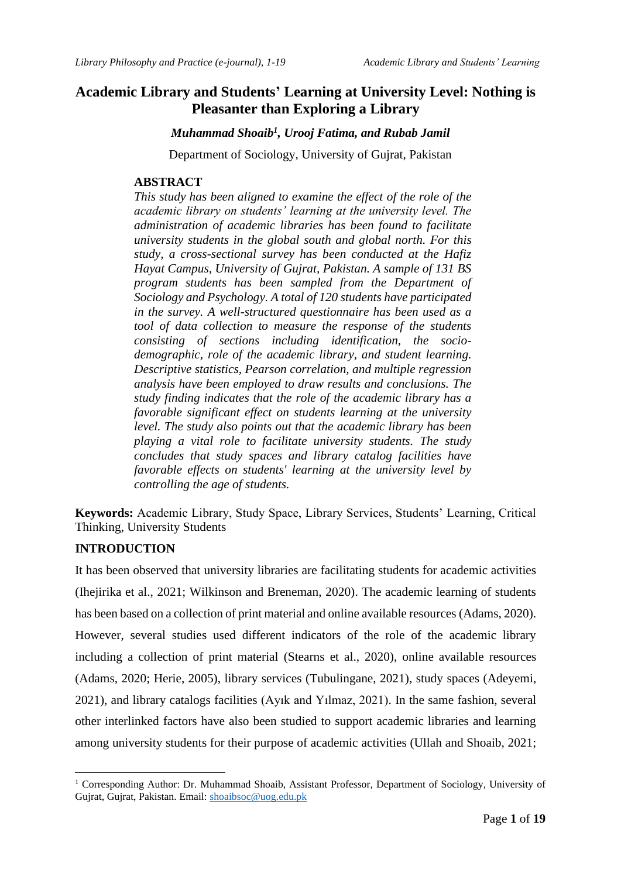### **Academic Library and Students' Learning at University Level: Nothing is Pleasanter than Exploring a Library**

*Muhammad Shoaib<sup>1</sup> , Urooj Fatima, and Rubab Jamil*

Department of Sociology, University of Gujrat, Pakistan

#### **ABSTRACT**

*This study has been aligned to examine the effect of the role of the academic library on students' learning at the university level. The administration of academic libraries has been found to facilitate university students in the global south and global north. For this study, a cross-sectional survey has been conducted at the Hafiz Hayat Campus, University of Gujrat, Pakistan. A sample of 131 BS program students has been sampled from the Department of Sociology and Psychology. A total of 120 students have participated in the survey. A well-structured questionnaire has been used as a tool of data collection to measure the response of the students consisting of sections including identification, the sociodemographic, role of the academic library, and student learning. Descriptive statistics, Pearson correlation, and multiple regression analysis have been employed to draw results and conclusions. The study finding indicates that the role of the academic library has a favorable significant effect on students learning at the university level. The study also points out that the academic library has been playing a vital role to facilitate university students. The study concludes that study spaces and library catalog facilities have favorable effects on students' learning at the university level by controlling the age of students.* 

**Keywords:** Academic Library, Study Space, Library Services, Students' Learning, Critical Thinking, University Students

#### **INTRODUCTION**

It has been observed that university libraries are facilitating students for academic activities (Ihejirika et al., 2021; Wilkinson and Breneman, 2020). The academic learning of students has been based on a collection of print material and online available resources (Adams, 2020). However, several studies used different indicators of the role of the academic library including a collection of print material (Stearns et al., 2020), online available resources (Adams, 2020; Herie, 2005), library services (Tubulingane, 2021), study spaces (Adeyemi, 2021), and library catalogs facilities (Ayık and Yılmaz, 2021). In the same fashion, several other interlinked factors have also been studied to support academic libraries and learning among university students for their purpose of academic activities (Ullah and Shoaib, 2021;

<sup>&</sup>lt;sup>1</sup> Corresponding Author: Dr. Muhammad Shoaib, Assistant Professor, Department of Sociology, University of Gujrat, Gujrat, Pakistan. Email: [shoaibsoc@uog.edu.pk](mailto:shoaibsoc@uog.edu.pk)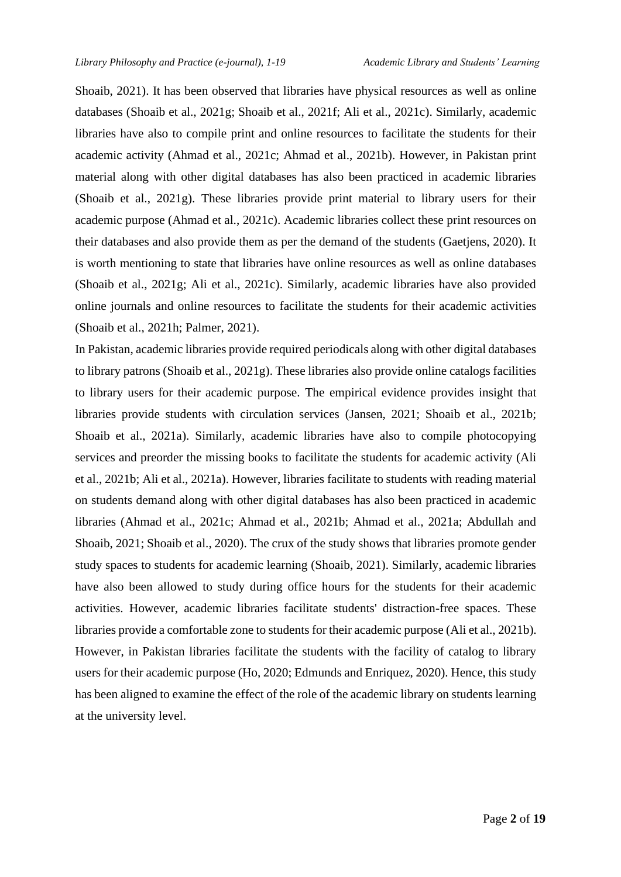Shoaib, 2021). It has been observed that libraries have physical resources as well as online databases (Shoaib et al., 2021g; Shoaib et al., 2021f; Ali et al., 2021c). Similarly, academic libraries have also to compile print and online resources to facilitate the students for their academic activity (Ahmad et al., 2021c; Ahmad et al., 2021b). However, in Pakistan print material along with other digital databases has also been practiced in academic libraries (Shoaib et al., 2021g). These libraries provide print material to library users for their academic purpose (Ahmad et al., 2021c). Academic libraries collect these print resources on their databases and also provide them as per the demand of the students (Gaetjens, 2020). It is worth mentioning to state that libraries have online resources as well as online databases (Shoaib et al., 2021g; Ali et al., 2021c). Similarly, academic libraries have also provided online journals and online resources to facilitate the students for their academic activities (Shoaib et al., 2021h; Palmer, 2021).

In Pakistan, academic libraries provide required periodicals along with other digital databases to library patrons (Shoaib et al., 2021g). These libraries also provide online catalogs facilities to library users for their academic purpose. The empirical evidence provides insight that libraries provide students with circulation services (Jansen, 2021; Shoaib et al., 2021b; Shoaib et al., 2021a). Similarly, academic libraries have also to compile photocopying services and preorder the missing books to facilitate the students for academic activity (Ali et al., 2021b; Ali et al., 2021a). However, libraries facilitate to students with reading material on students demand along with other digital databases has also been practiced in academic libraries (Ahmad et al., 2021c; Ahmad et al., 2021b; Ahmad et al., 2021a; Abdullah and Shoaib, 2021; Shoaib et al., 2020). The crux of the study shows that libraries promote gender study spaces to students for academic learning (Shoaib, 2021). Similarly, academic libraries have also been allowed to study during office hours for the students for their academic activities. However, academic libraries facilitate students' distraction-free spaces. These libraries provide a comfortable zone to students for their academic purpose (Ali et al., 2021b). However, in Pakistan libraries facilitate the students with the facility of catalog to library users for their academic purpose (Ho, 2020; Edmunds and Enriquez, 2020). Hence, this study has been aligned to examine the effect of the role of the academic library on students learning at the university level.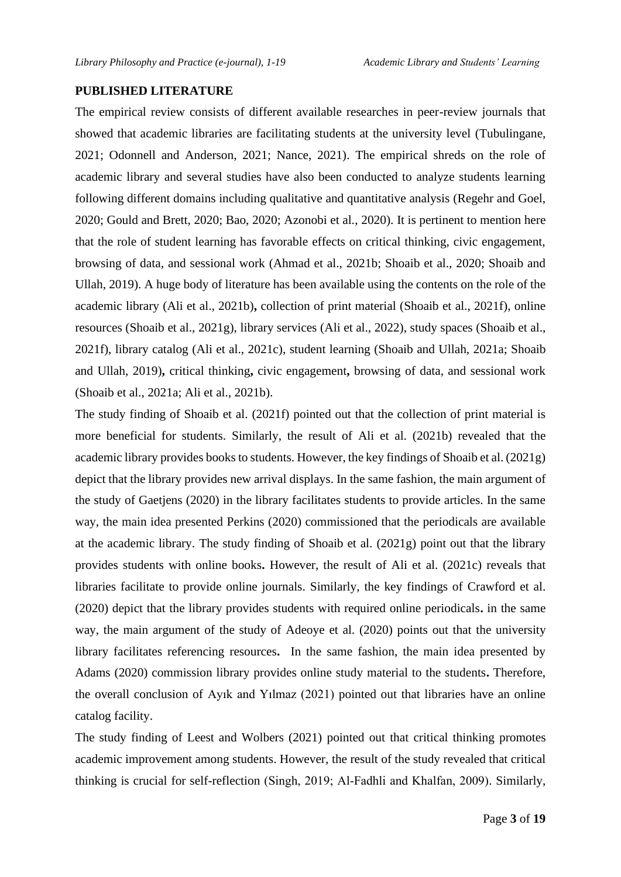#### **PUBLISHED LITERATURE**

The empirical review consists of different available researches in peer-review journals that showed that academic libraries are facilitating students at the university level (Tubulingane, 2021; Odonnell and Anderson, 2021; Nance, 2021). The empirical shreds on the role of academic library and several studies have also been conducted to analyze students learning following different domains including qualitative and quantitative analysis (Regehr and Goel, 2020; Gould and Brett, 2020; Bao, 2020; Azonobi et al., 2020). It is pertinent to mention here that the role of student learning has favorable effects on critical thinking, civic engagement, browsing of data, and sessional work (Ahmad et al., 2021b; Shoaib et al., 2020; Shoaib and Ullah, 2019). A huge body of literature has been available using the contents on the role of the academic library (Ali et al., 2021b)**,** collection of print material (Shoaib et al., 2021f), online resources (Shoaib et al., 2021g), library services (Ali et al., 2022), study spaces (Shoaib et al., 2021f), library catalog (Ali et al., 2021c), student learning (Shoaib and Ullah, 2021a; Shoaib and Ullah, 2019)**,** critical thinking**,** civic engagement**,** browsing of data, and sessional work (Shoaib et al., 2021a; Ali et al., 2021b).

The study finding of Shoaib et al. (2021f) pointed out that the collection of print material is more beneficial for students. Similarly, the result of Ali et al. (2021b) revealed that the academic library provides books to students. However, the key findings of Shoaib et al. (2021g) depict that the library provides new arrival displays. In the same fashion, the main argument of the study of Gaetjens (2020) in the library facilitates students to provide articles. In the same way, the main idea presented Perkins (2020) commissioned that the periodicals are available at the academic library. The study finding of Shoaib et al. (2021g) point out that the library provides students with online books**.** However, the result of Ali et al. (2021c) reveals that libraries facilitate to provide online journals. Similarly, the key findings of Crawford et al. (2020) depict that the library provides students with required online periodicals**.** in the same way, the main argument of the study of Adeoye et al. (2020) points out that the university library facilitates referencing resources**.** In the same fashion, the main idea presented by Adams (2020) commission library provides online study material to the students**.** Therefore, the overall conclusion of Ayık and Yılmaz (2021) pointed out that libraries have an online catalog facility.

The study finding of Leest and Wolbers (2021) pointed out that critical thinking promotes academic improvement among students. However, the result of the study revealed that critical thinking is crucial for self-reflection (Singh, 2019; Al‐Fadhli and Khalfan, 2009). Similarly,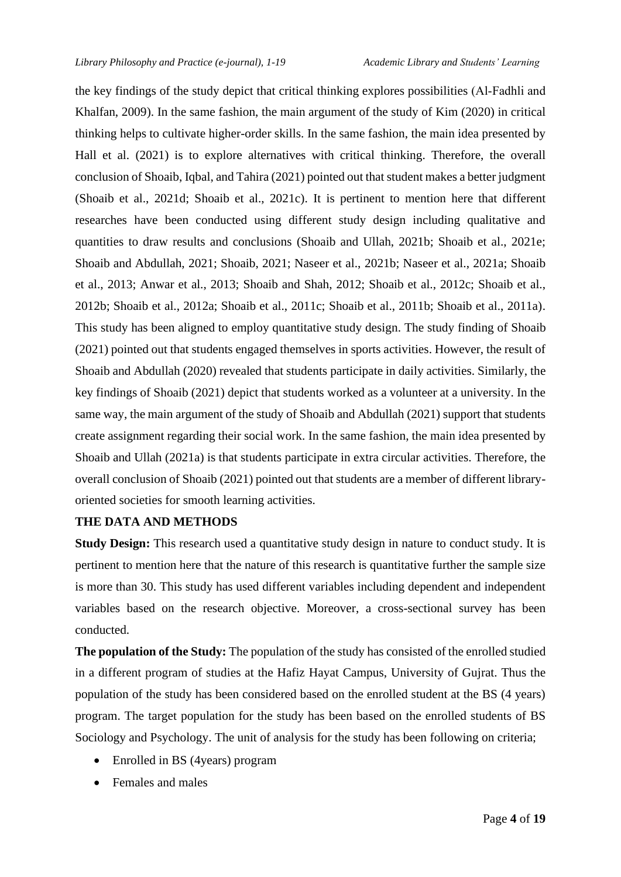the key findings of the study depict that critical thinking explores possibilities (Al‐Fadhli and Khalfan, 2009). In the same fashion, the main argument of the study of Kim (2020) in critical thinking helps to cultivate higher-order skills. In the same fashion, the main idea presented by Hall et al. (2021) is to explore alternatives with critical thinking. Therefore, the overall conclusion of Shoaib, Iqbal, and Tahira (2021) pointed out that student makes a better judgment (Shoaib et al., 2021d; Shoaib et al., 2021c). It is pertinent to mention here that different researches have been conducted using different study design including qualitative and quantities to draw results and conclusions (Shoaib and Ullah, 2021b; Shoaib et al., 2021e; Shoaib and Abdullah, 2021; Shoaib, 2021; Naseer et al., 2021b; Naseer et al., 2021a; Shoaib et al., 2013; Anwar et al., 2013; Shoaib and Shah, 2012; Shoaib et al., 2012c; Shoaib et al., 2012b; Shoaib et al., 2012a; Shoaib et al., 2011c; Shoaib et al., 2011b; Shoaib et al., 2011a). This study has been aligned to employ quantitative study design. The study finding of Shoaib (2021) pointed out that students engaged themselves in sports activities. However, the result of Shoaib and Abdullah (2020) revealed that students participate in daily activities. Similarly, the key findings of Shoaib (2021) depict that students worked as a volunteer at a university. In the same way, the main argument of the study of Shoaib and Abdullah (2021) support that students create assignment regarding their social work. In the same fashion, the main idea presented by Shoaib and Ullah (2021a) is that students participate in extra circular activities. Therefore, the overall conclusion of Shoaib (2021) pointed out that students are a member of different libraryoriented societies for smooth learning activities.

#### **THE DATA AND METHODS**

**Study Design:** This research used a quantitative study design in nature to conduct study. It is pertinent to mention here that the nature of this research is quantitative further the sample size is more than 30. This study has used different variables including dependent and independent variables based on the research objective. Moreover, a cross-sectional survey has been conducted.

**The population of the Study:** The population of the study has consisted of the enrolled studied in a different program of studies at the Hafiz Hayat Campus, University of Gujrat. Thus the population of the study has been considered based on the enrolled student at the BS (4 years) program. The target population for the study has been based on the enrolled students of BS Sociology and Psychology. The unit of analysis for the study has been following on criteria;

- Enrolled in BS (4years) program
- Females and males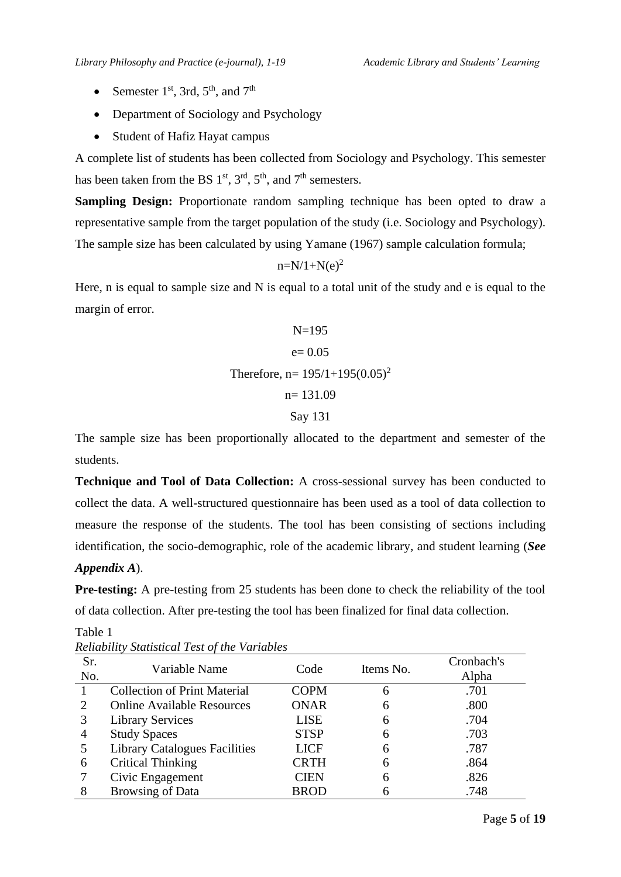- Semester 1<sup>st</sup>, 3rd, 5<sup>th</sup>, and 7<sup>th</sup>
- Department of Sociology and Psychology
- Student of Hafiz Hayat campus

A complete list of students has been collected from Sociology and Psychology. This semester has been taken from the BS  $1<sup>st</sup>$ ,  $3<sup>rd</sup>$ ,  $5<sup>th</sup>$ , and  $7<sup>th</sup>$  semesters.

**Sampling Design:** Proportionate random sampling technique has been opted to draw a representative sample from the target population of the study (i.e. Sociology and Psychology). The sample size has been calculated by using Yamane (1967) sample calculation formula;

$$
n=N/1+N(e)^2
$$

Here, n is equal to sample size and N is equal to a total unit of the study and e is equal to the margin of error.

N=195  
\n
$$
e= 0.05
$$
  
\nTherefore, n= 195/1+195(0.05)<sup>2</sup>  
\nn= 131.09  
\nSay 131

The sample size has been proportionally allocated to the department and semester of the students.

**Technique and Tool of Data Collection:** A cross-sessional survey has been conducted to collect the data. A well-structured questionnaire has been used as a tool of data collection to measure the response of the students. The tool has been consisting of sections including identification, the socio-demographic, role of the academic library, and student learning (*See Appendix A*).

**Pre-testing:** A pre-testing from 25 students has been done to check the reliability of the tool of data collection. After pre-testing the tool has been finalized for final data collection.

| Sr.<br>No. | Variable Name                        | Code        | Items No. | Cronbach's<br>Alpha |
|------------|--------------------------------------|-------------|-----------|---------------------|
|            | <b>Collection of Print Material</b>  | <b>COPM</b> | 6         | .701                |
| 2          | <b>Online Available Resources</b>    | <b>ONAR</b> | 6         | .800                |
| 3          | <b>Library Services</b>              | <b>LISE</b> | 6         | .704                |
| 4          | <b>Study Spaces</b>                  | <b>STSP</b> | 6         | .703                |
|            | <b>Library Catalogues Facilities</b> | <b>LICF</b> | 6         | .787                |
| 6          | <b>Critical Thinking</b>             | <b>CRTH</b> | 6         | .864                |
|            | Civic Engagement                     | <b>CIEN</b> | 6         | .826                |
| 8          | <b>Browsing of Data</b>              | <b>BROD</b> |           | .748                |

Table 1 *Reliability Statistical Test of the Variables*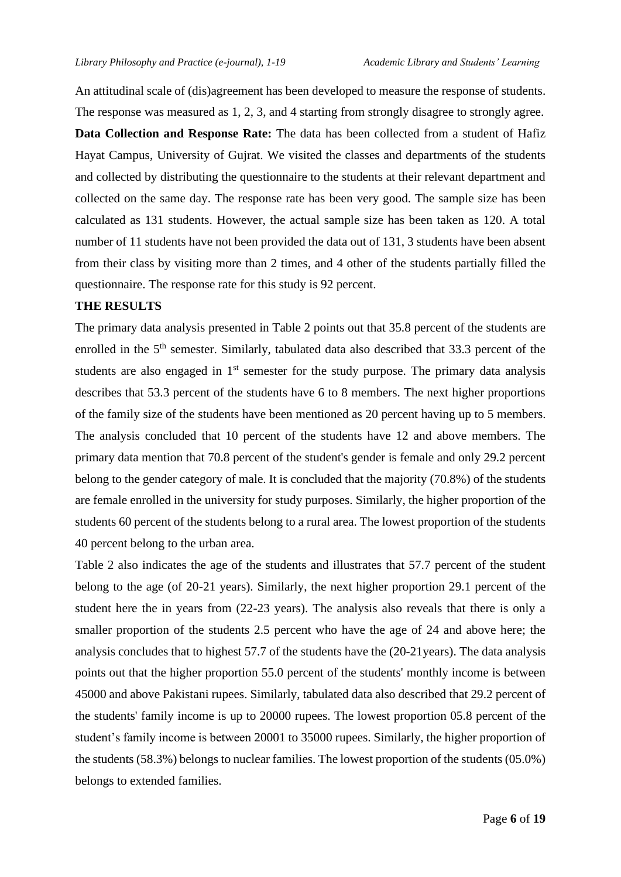An attitudinal scale of (dis)agreement has been developed to measure the response of students. The response was measured as 1, 2, 3, and 4 starting from strongly disagree to strongly agree. **Data Collection and Response Rate:** The data has been collected from a student of Hafiz Hayat Campus, University of Gujrat. We visited the classes and departments of the students and collected by distributing the questionnaire to the students at their relevant department and collected on the same day. The response rate has been very good. The sample size has been calculated as 131 students. However, the actual sample size has been taken as 120. A total number of 11 students have not been provided the data out of 131, 3 students have been absent from their class by visiting more than 2 times, and 4 other of the students partially filled the questionnaire. The response rate for this study is 92 percent.

#### **THE RESULTS**

The primary data analysis presented in Table 2 points out that 35.8 percent of the students are enrolled in the 5<sup>th</sup> semester. Similarly, tabulated data also described that 33.3 percent of the students are also engaged in  $1<sup>st</sup>$  semester for the study purpose. The primary data analysis describes that 53.3 percent of the students have 6 to 8 members. The next higher proportions of the family size of the students have been mentioned as 20 percent having up to 5 members. The analysis concluded that 10 percent of the students have 12 and above members. The primary data mention that 70.8 percent of the student's gender is female and only 29.2 percent belong to the gender category of male. It is concluded that the majority (70.8%) of the students are female enrolled in the university for study purposes. Similarly, the higher proportion of the students 60 percent of the students belong to a rural area. The lowest proportion of the students 40 percent belong to the urban area.

Table 2 also indicates the age of the students and illustrates that 57.7 percent of the student belong to the age (of 20-21 years). Similarly, the next higher proportion 29.1 percent of the student here the in years from (22-23 years). The analysis also reveals that there is only a smaller proportion of the students 2.5 percent who have the age of 24 and above here; the analysis concludes that to highest 57.7 of the students have the (20-21years). The data analysis points out that the higher proportion 55.0 percent of the students' monthly income is between 45000 and above Pakistani rupees. Similarly, tabulated data also described that 29.2 percent of the students' family income is up to 20000 rupees. The lowest proportion 05.8 percent of the student's family income is between 20001 to 35000 rupees. Similarly, the higher proportion of the students (58.3%) belongs to nuclear families. The lowest proportion of the students (05.0%) belongs to extended families.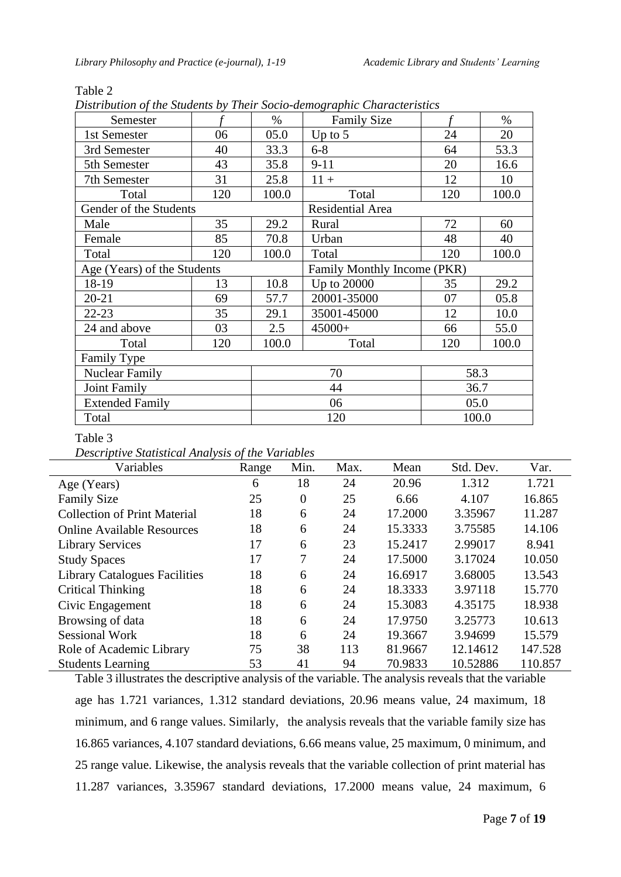| Semester                    |     | $\%$  | <b>Family Size</b>          |       | $\%$  |  |  |
|-----------------------------|-----|-------|-----------------------------|-------|-------|--|--|
| 1st Semester                | 06  | 05.0  | Up to $5$                   | 24    | 20    |  |  |
| 3rd Semester                | 40  | 33.3  | $6 - 8$                     | 64    | 53.3  |  |  |
| 5th Semester                | 43  | 35.8  | $9 - 11$                    | 20    | 16.6  |  |  |
| 7th Semester                | 31  | 25.8  | $11 +$                      | 12    | 10    |  |  |
| Total                       | 120 | 100.0 | Total                       | 120   | 100.0 |  |  |
| Gender of the Students      |     |       | Residential Area            |       |       |  |  |
| Male                        | 35  | 29.2  | Rural                       | 72    | 60    |  |  |
| Female                      | 85  | 70.8  | Urban                       | 48    | 40    |  |  |
| Total                       | 120 | 100.0 | Total                       | 120   | 100.0 |  |  |
| Age (Years) of the Students |     |       | Family Monthly Income (PKR) |       |       |  |  |
| 18-19                       | 13  | 10.8  | Up to 20000                 | 35    | 29.2  |  |  |
| $20 - 21$                   | 69  | 57.7  | 20001-35000                 | 07    | 05.8  |  |  |
| $22 - 23$                   | 35  | 29.1  | 35001-45000                 | 12    | 10.0  |  |  |
| 24 and above                | 03  | 2.5   | 45000+                      | 66    | 55.0  |  |  |
| Total                       | 120 | 100.0 | Total                       | 120   | 100.0 |  |  |
| <b>Family Type</b>          |     |       |                             |       |       |  |  |
| <b>Nuclear Family</b>       |     | 70    |                             | 58.3  |       |  |  |
| Joint Family                |     | 44    |                             | 36.7  |       |  |  |
| <b>Extended Family</b>      |     |       | 06                          | 05.0  |       |  |  |
| Total                       |     |       | 120                         | 100.0 |       |  |  |

#### Table 2

*Distribution of the Students by Their Socio-demographic Characteristics*

#### Table 3

*Descriptive Statistical Analysis of the Variables*

| Variables                            | Range | Min.     | Max. | Mean    | Std. Dev. | Var.    |
|--------------------------------------|-------|----------|------|---------|-----------|---------|
| Age (Years)                          | 6     | 18       | 24   | 20.96   | 1.312     | 1.721   |
| <b>Family Size</b>                   | 25    | $\theta$ | 25   | 6.66    | 4.107     | 16.865  |
| <b>Collection of Print Material</b>  | 18    | 6        | 24   | 17.2000 | 3.35967   | 11.287  |
| <b>Online Available Resources</b>    | 18    | 6        | 24   | 15.3333 | 3.75585   | 14.106  |
| <b>Library Services</b>              | 17    | 6        | 23   | 15.2417 | 2.99017   | 8.941   |
| <b>Study Spaces</b>                  | 17    | 7        | 24   | 17.5000 | 3.17024   | 10.050  |
| <b>Library Catalogues Facilities</b> | 18    | 6        | 24   | 16.6917 | 3.68005   | 13.543  |
| <b>Critical Thinking</b>             | 18    | 6        | 24   | 18.3333 | 3.97118   | 15.770  |
| Civic Engagement                     | 18    | 6        | 24   | 15.3083 | 4.35175   | 18.938  |
| Browsing of data                     | 18    | 6        | 24   | 17.9750 | 3.25773   | 10.613  |
| <b>Sessional Work</b>                | 18    | 6        | 24   | 19.3667 | 3.94699   | 15.579  |
| Role of Academic Library             | 75    | 38       | 113  | 81.9667 | 12.14612  | 147.528 |
| <b>Students Learning</b>             | 53    | 41       | 94   | 70.9833 | 10.52886  | 110.857 |

Table 3 illustrates the descriptive analysis of the variable. The analysis reveals that the variable age has 1.721 variances, 1.312 standard deviations, 20.96 means value, 24 maximum, 18 minimum, and 6 range values. Similarly, the analysis reveals that the variable family size has 16.865 variances, 4.107 standard deviations, 6.66 means value, 25 maximum, 0 minimum, and 25 range value. Likewise, the analysis reveals that the variable collection of print material has 11.287 variances, 3.35967 standard deviations, 17.2000 means value, 24 maximum, 6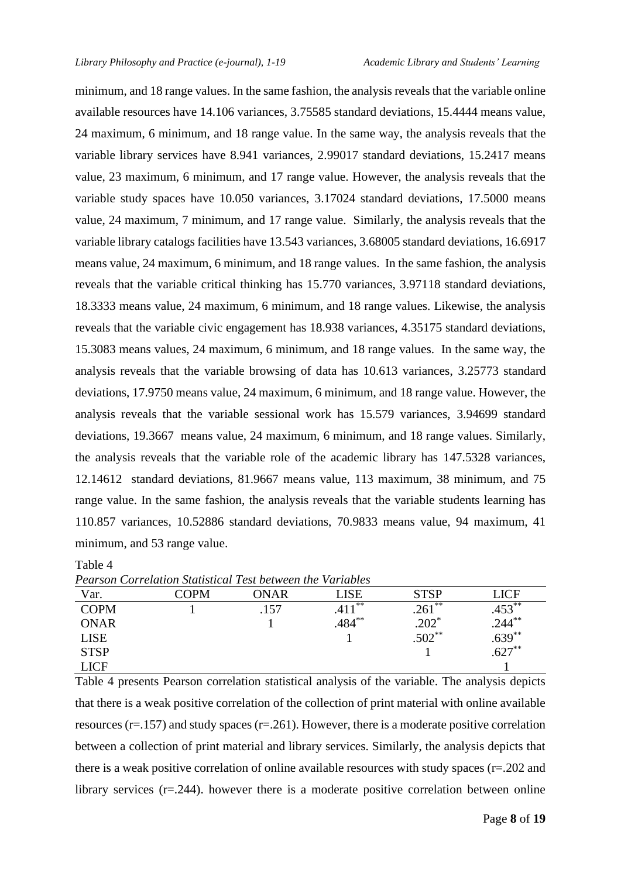minimum, and 18 range values. In the same fashion, the analysis reveals that the variable online available resources have 14.106 variances, 3.75585 standard deviations, 15.4444 means value, 24 maximum, 6 minimum, and 18 range value. In the same way, the analysis reveals that the variable library services have 8.941 variances, 2.99017 standard deviations, 15.2417 means value, 23 maximum, 6 minimum, and 17 range value. However, the analysis reveals that the variable study spaces have 10.050 variances, 3.17024 standard deviations, 17.5000 means value, 24 maximum, 7 minimum, and 17 range value. Similarly, the analysis reveals that the variable library catalogs facilities have 13.543 variances, 3.68005 standard deviations, 16.6917 means value, 24 maximum, 6 minimum, and 18 range values. In the same fashion, the analysis reveals that the variable critical thinking has 15.770 variances, 3.97118 standard deviations, 18.3333 means value, 24 maximum, 6 minimum, and 18 range values. Likewise, the analysis reveals that the variable civic engagement has 18.938 variances, 4.35175 standard deviations, 15.3083 means values, 24 maximum, 6 minimum, and 18 range values. In the same way, the analysis reveals that the variable browsing of data has 10.613 variances, 3.25773 standard deviations, 17.9750 means value, 24 maximum, 6 minimum, and 18 range value. However, the analysis reveals that the variable sessional work has 15.579 variances, 3.94699 standard deviations, 19.3667 means value, 24 maximum, 6 minimum, and 18 range values. Similarly, the analysis reveals that the variable role of the academic library has 147.5328 variances, 12.14612 standard deviations, 81.9667 means value, 113 maximum, 38 minimum, and 75 range value. In the same fashion, the analysis reveals that the variable students learning has 110.857 variances, 10.52886 standard deviations, 70.9833 means value, 94 maximum, 41 minimum, and 53 range value.

Table 4

*Pearson Correlation Statistical Test between the Variables* 

| Var.        | COPM | ONAR | LISE      | <b>STSP</b>               | $\mathop{\rm LICF}\nolimits$              |
|-------------|------|------|-----------|---------------------------|-------------------------------------------|
| <b>COPM</b> |      | .157 | **        | $.261***$                 | $.453**$                                  |
| ONAR        |      |      | $.484***$ | $.202^{*}$<br>$.502^{**}$ | $.244^{**}$<br>$.639^{**}$<br>$.627^{**}$ |
| LISE        |      |      |           |                           |                                           |
| <b>STSP</b> |      |      |           |                           |                                           |
| <b>LICF</b> |      |      |           |                           |                                           |

Table 4 presents Pearson correlation statistical analysis of the variable. The analysis depicts that there is a weak positive correlation of the collection of print material with online available resources ( $r=157$ ) and study spaces ( $r=261$ ). However, there is a moderate positive correlation between a collection of print material and library services. Similarly, the analysis depicts that there is a weak positive correlation of online available resources with study spaces (r=.202 and library services (r=.244). however there is a moderate positive correlation between online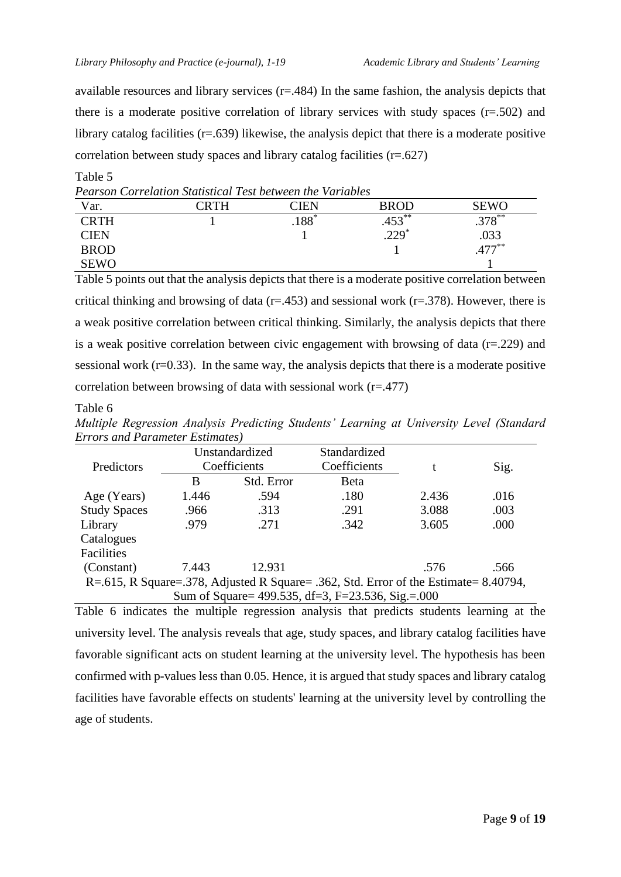available resources and library services  $(r=484)$  In the same fashion, the analysis depicts that there is a moderate positive correlation of library services with study spaces  $(r=.502)$  and library catalog facilities (r=.639) likewise, the analysis depict that there is a moderate positive correlation between study spaces and library catalog facilities (r=.627)

|             | <b>Pearson Correlation Statistical Test between the Variables</b> |         |             |             |
|-------------|-------------------------------------------------------------------|---------|-------------|-------------|
| Var.        | CRTH                                                              | TIEN    | <b>BROD</b> | SEWO        |
| <b>CRTH</b> |                                                                   | $.188*$ | $.453***$   | $.378^{**}$ |
| CIEN        |                                                                   |         | $.229*$     | .033        |
| <b>BROD</b> |                                                                   |         |             | $.477***$   |
| <b>SEWO</b> |                                                                   |         |             |             |

Table 5 points out that the analysis depicts that there is a moderate positive correlation between critical thinking and browsing of data ( $r=453$ ) and sessional work ( $r=378$ ). However, there is a weak positive correlation between critical thinking. Similarly, the analysis depicts that there is a weak positive correlation between civic engagement with browsing of data  $(r=.229)$  and sessional work  $(r=0.33)$ . In the same way, the analysis depicts that there is a moderate positive correlation between browsing of data with sessional work  $(r=477)$ 

#### Table 6

Table 5

| Multiple Regression Analysis Predicting Students' Learning at University Level (Standard |  |  |  |  |
|------------------------------------------------------------------------------------------|--|--|--|--|
| <b>Errors and Parameter Estimates</b> )                                                  |  |  |  |  |

|                     | Unstandardized<br>Coefficients                                                       |            | Standardized |       |      |  |  |  |
|---------------------|--------------------------------------------------------------------------------------|------------|--------------|-------|------|--|--|--|
| Predictors          |                                                                                      |            | Coefficients | t     | Sig. |  |  |  |
|                     | B                                                                                    | Std. Error | Beta         |       |      |  |  |  |
| Age (Years)         | 1.446                                                                                | .594       | .180         | 2.436 | .016 |  |  |  |
| <b>Study Spaces</b> | .966                                                                                 | .313       | .291         | 3.088 | .003 |  |  |  |
| Library             | .979                                                                                 | .271       | .342         | 3.605 | .000 |  |  |  |
| Catalogues          |                                                                                      |            |              |       |      |  |  |  |
| Facilities          |                                                                                      |            |              |       |      |  |  |  |
| (Constant)          | 7.443                                                                                | 12.931     |              | .576  | .566 |  |  |  |
|                     | R=.615, R Square=.378, Adjusted R Square= .362, Std. Error of the Estimate= 8.40794, |            |              |       |      |  |  |  |
|                     | Sum of Square= 499.535, df=3, F=23.536, Sig.=.000                                    |            |              |       |      |  |  |  |

Table 6 indicates the multiple regression analysis that predicts students learning at the university level. The analysis reveals that age, study spaces, and library catalog facilities have favorable significant acts on student learning at the university level. The hypothesis has been confirmed with p-values less than 0.05. Hence, it is argued that study spaces and library catalog facilities have favorable effects on students' learning at the university level by controlling the age of students.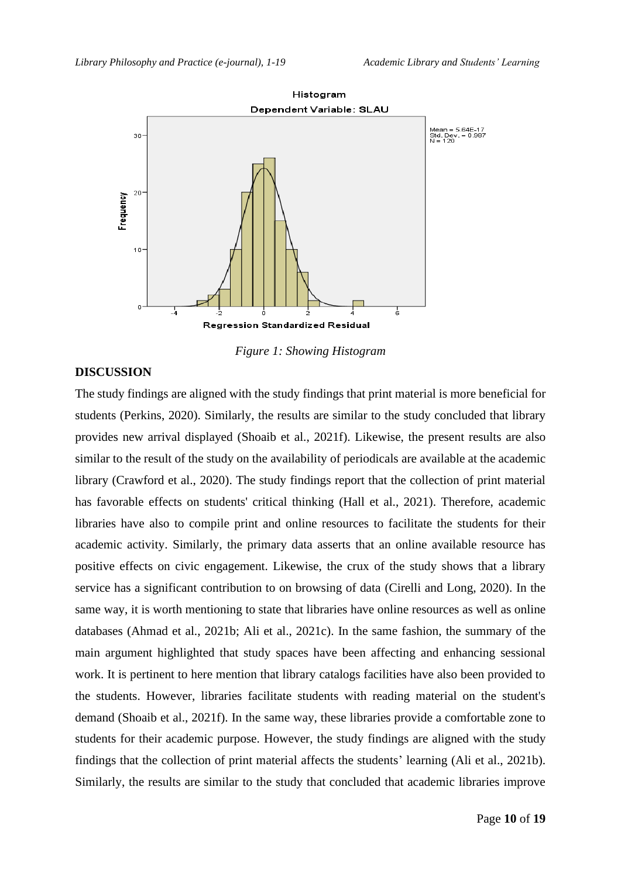

*Figure 1: Showing Histogram* 

#### **DISCUSSION**

The study findings are aligned with the study findings that print material is more beneficial for students (Perkins, 2020). Similarly, the results are similar to the study concluded that library provides new arrival displayed (Shoaib et al., 2021f). Likewise, the present results are also similar to the result of the study on the availability of periodicals are available at the academic library (Crawford et al., 2020). The study findings report that the collection of print material has favorable effects on students' critical thinking (Hall et al., 2021). Therefore, academic libraries have also to compile print and online resources to facilitate the students for their academic activity. Similarly, the primary data asserts that an online available resource has positive effects on civic engagement. Likewise, the crux of the study shows that a library service has a significant contribution to on browsing of data (Cirelli and Long, 2020). In the same way, it is worth mentioning to state that libraries have online resources as well as online databases (Ahmad et al., 2021b; Ali et al., 2021c). In the same fashion, the summary of the main argument highlighted that study spaces have been affecting and enhancing sessional work. It is pertinent to here mention that library catalogs facilities have also been provided to the students. However, libraries facilitate students with reading material on the student's demand (Shoaib et al., 2021f). In the same way, these libraries provide a comfortable zone to students for their academic purpose. However, the study findings are aligned with the study findings that the collection of print material affects the students' learning (Ali et al., 2021b). Similarly, the results are similar to the study that concluded that academic libraries improve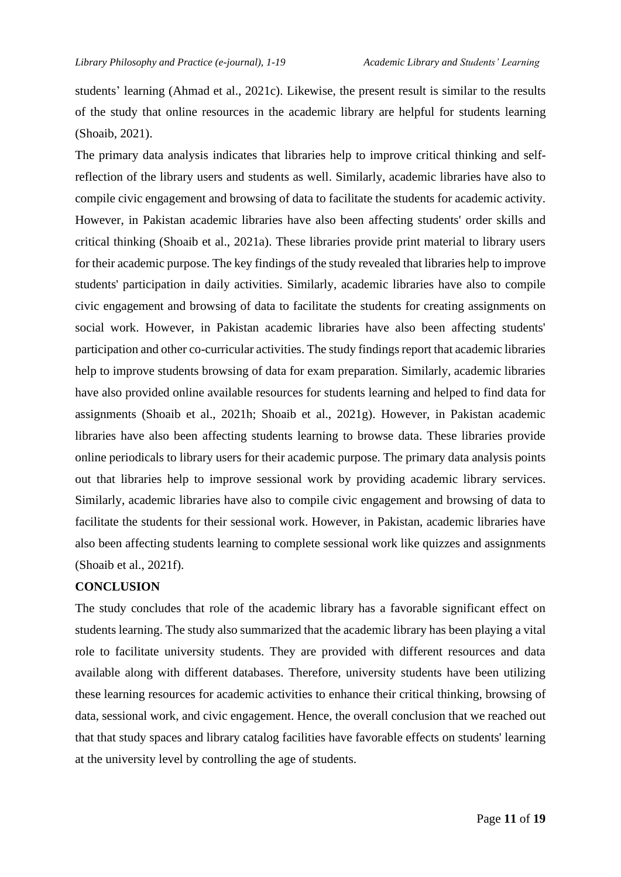students' learning (Ahmad et al., 2021c). Likewise, the present result is similar to the results of the study that online resources in the academic library are helpful for students learning (Shoaib, 2021).

The primary data analysis indicates that libraries help to improve critical thinking and selfreflection of the library users and students as well. Similarly, academic libraries have also to compile civic engagement and browsing of data to facilitate the students for academic activity. However, in Pakistan academic libraries have also been affecting students' order skills and critical thinking (Shoaib et al., 2021a). These libraries provide print material to library users for their academic purpose. The key findings of the study revealed that libraries help to improve students' participation in daily activities. Similarly, academic libraries have also to compile civic engagement and browsing of data to facilitate the students for creating assignments on social work. However, in Pakistan academic libraries have also been affecting students' participation and other co-curricular activities. The study findings report that academic libraries help to improve students browsing of data for exam preparation. Similarly, academic libraries have also provided online available resources for students learning and helped to find data for assignments (Shoaib et al., 2021h; Shoaib et al., 2021g). However, in Pakistan academic libraries have also been affecting students learning to browse data. These libraries provide online periodicals to library users for their academic purpose. The primary data analysis points out that libraries help to improve sessional work by providing academic library services. Similarly, academic libraries have also to compile civic engagement and browsing of data to facilitate the students for their sessional work. However, in Pakistan, academic libraries have also been affecting students learning to complete sessional work like quizzes and assignments (Shoaib et al., 2021f).

#### **CONCLUSION**

The study concludes that role of the academic library has a favorable significant effect on students learning. The study also summarized that the academic library has been playing a vital role to facilitate university students. They are provided with different resources and data available along with different databases. Therefore, university students have been utilizing these learning resources for academic activities to enhance their critical thinking, browsing of data, sessional work, and civic engagement. Hence, the overall conclusion that we reached out that that study spaces and library catalog facilities have favorable effects on students' learning at the university level by controlling the age of students.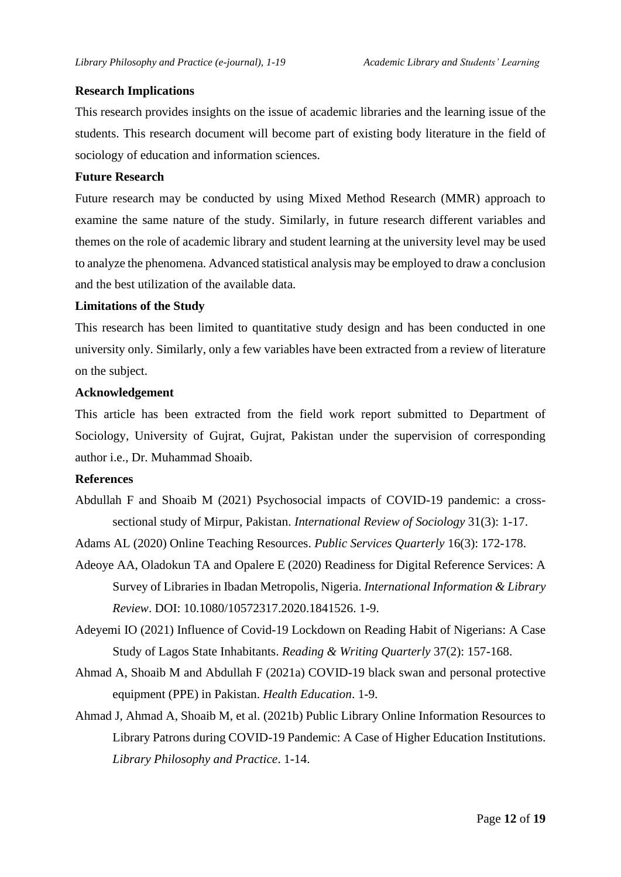#### **Research Implications**

This research provides insights on the issue of academic libraries and the learning issue of the students. This research document will become part of existing body literature in the field of sociology of education and information sciences.

#### **Future Research**

Future research may be conducted by using Mixed Method Research (MMR) approach to examine the same nature of the study. Similarly, in future research different variables and themes on the role of academic library and student learning at the university level may be used to analyze the phenomena. Advanced statistical analysis may be employed to draw a conclusion and the best utilization of the available data.

#### **Limitations of the Study**

This research has been limited to quantitative study design and has been conducted in one university only. Similarly, only a few variables have been extracted from a review of literature on the subject.

#### **Acknowledgement**

This article has been extracted from the field work report submitted to Department of Sociology, University of Gujrat, Gujrat, Pakistan under the supervision of corresponding author i.e., Dr. Muhammad Shoaib.

#### **References**

Abdullah F and Shoaib M (2021) Psychosocial impacts of COVID-19 pandemic: a crosssectional study of Mirpur, Pakistan. *International Review of Sociology* 31(3): 1-17.

Adams AL (2020) Online Teaching Resources. *Public Services Quarterly* 16(3): 172-178.

Adeoye AA, Oladokun TA and Opalere E (2020) Readiness for Digital Reference Services: A Survey of Libraries in Ibadan Metropolis, Nigeria. *International Information & Library Review*. DOI: 10.1080/10572317.2020.1841526. 1-9.

Adeyemi IO (2021) Influence of Covid-19 Lockdown on Reading Habit of Nigerians: A Case Study of Lagos State Inhabitants. *Reading & Writing Quarterly* 37(2): 157-168.

- Ahmad A, Shoaib M and Abdullah F (2021a) COVID-19 black swan and personal protective equipment (PPE) in Pakistan. *Health Education*. 1-9.
- Ahmad J, Ahmad A, Shoaib M, et al. (2021b) Public Library Online Information Resources to Library Patrons during COVID-19 Pandemic: A Case of Higher Education Institutions. *Library Philosophy and Practice*. 1-14.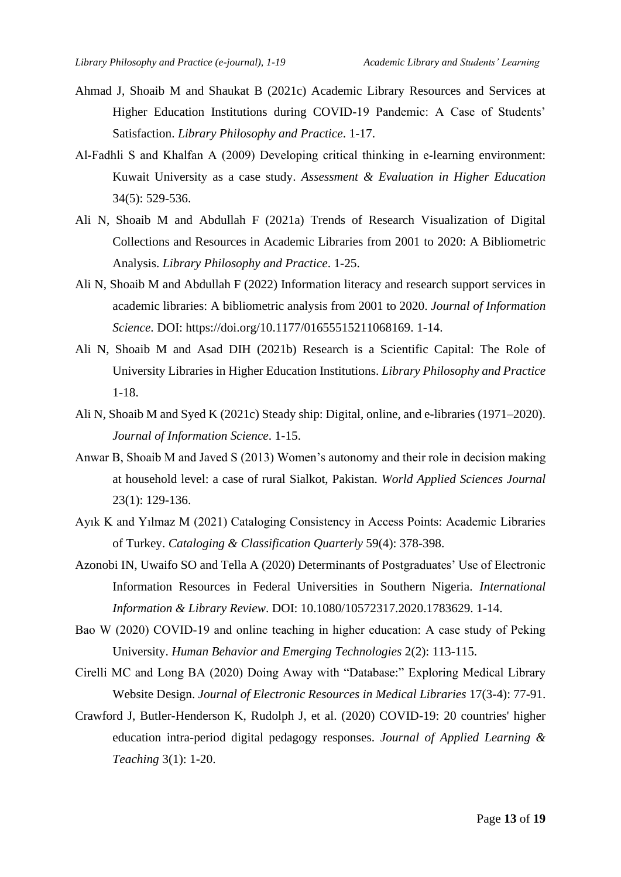- Ahmad J, Shoaib M and Shaukat B (2021c) Academic Library Resources and Services at Higher Education Institutions during COVID-19 Pandemic: A Case of Students' Satisfaction. *Library Philosophy and Practice*. 1-17.
- Al‐Fadhli S and Khalfan A (2009) Developing critical thinking in e‐learning environment: Kuwait University as a case study. *Assessment & Evaluation in Higher Education* 34(5): 529-536.
- Ali N, Shoaib M and Abdullah F (2021a) Trends of Research Visualization of Digital Collections and Resources in Academic Libraries from 2001 to 2020: A Bibliometric Analysis. *Library Philosophy and Practice*. 1-25.
- Ali N, Shoaib M and Abdullah F (2022) Information literacy and research support services in academic libraries: A bibliometric analysis from 2001 to 2020. *Journal of Information Science*. DOI: https://doi.org/10.1177/01655515211068169. 1-14.
- Ali N, Shoaib M and Asad DIH (2021b) Research is a Scientific Capital: The Role of University Libraries in Higher Education Institutions. *Library Philosophy and Practice* 1-18.
- Ali N, Shoaib M and Syed K (2021c) Steady ship: Digital, online, and e-libraries (1971–2020). *Journal of Information Science*. 1-15.
- Anwar B, Shoaib M and Javed S (2013) Women's autonomy and their role in decision making at household level: a case of rural Sialkot, Pakistan. *World Applied Sciences Journal* 23(1): 129-136.
- Ayık K and Yılmaz M (2021) Cataloging Consistency in Access Points: Academic Libraries of Turkey. *Cataloging & Classification Quarterly* 59(4): 378-398.
- Azonobi IN, Uwaifo SO and Tella A (2020) Determinants of Postgraduates' Use of Electronic Information Resources in Federal Universities in Southern Nigeria. *International Information & Library Review*. DOI: 10.1080/10572317.2020.1783629. 1-14.
- Bao W (2020) COVID-19 and online teaching in higher education: A case study of Peking University. *Human Behavior and Emerging Technologies* 2(2): 113-115.
- Cirelli MC and Long BA (2020) Doing Away with "Database:" Exploring Medical Library Website Design. *Journal of Electronic Resources in Medical Libraries* 17(3-4): 77-91.
- Crawford J, Butler-Henderson K, Rudolph J, et al. (2020) COVID-19: 20 countries' higher education intra-period digital pedagogy responses. *Journal of Applied Learning & Teaching* 3(1): 1-20.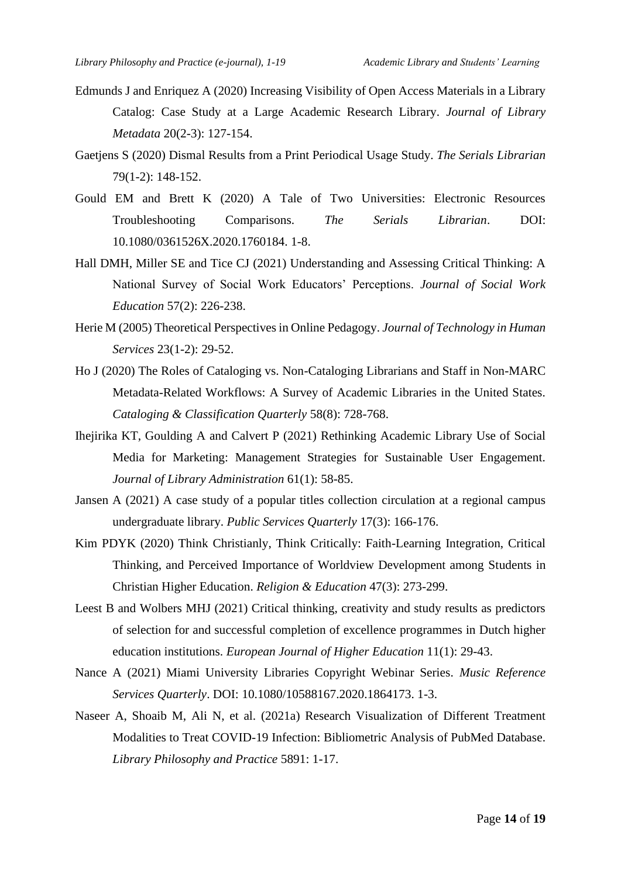- Edmunds J and Enriquez A (2020) Increasing Visibility of Open Access Materials in a Library Catalog: Case Study at a Large Academic Research Library. *Journal of Library Metadata* 20(2-3): 127-154.
- Gaetjens S (2020) Dismal Results from a Print Periodical Usage Study. *The Serials Librarian* 79(1-2): 148-152.
- Gould EM and Brett K (2020) A Tale of Two Universities: Electronic Resources Troubleshooting Comparisons. *The Serials Librarian*. DOI: 10.1080/0361526X.2020.1760184. 1-8.
- Hall DMH, Miller SE and Tice CJ (2021) Understanding and Assessing Critical Thinking: A National Survey of Social Work Educators' Perceptions. *Journal of Social Work Education* 57(2): 226-238.
- Herie M (2005) Theoretical Perspectives in Online Pedagogy. *Journal of Technology in Human Services* 23(1-2): 29-52.
- Ho J (2020) The Roles of Cataloging vs. Non-Cataloging Librarians and Staff in Non-MARC Metadata-Related Workflows: A Survey of Academic Libraries in the United States. *Cataloging & Classification Quarterly* 58(8): 728-768.
- Ihejirika KT, Goulding A and Calvert P (2021) Rethinking Academic Library Use of Social Media for Marketing: Management Strategies for Sustainable User Engagement. *Journal of Library Administration* 61(1): 58-85.
- Jansen A (2021) A case study of a popular titles collection circulation at a regional campus undergraduate library. *Public Services Quarterly* 17(3): 166-176.
- Kim PDYK (2020) Think Christianly, Think Critically: Faith-Learning Integration, Critical Thinking, and Perceived Importance of Worldview Development among Students in Christian Higher Education. *Religion & Education* 47(3): 273-299.
- Leest B and Wolbers MHJ (2021) Critical thinking, creativity and study results as predictors of selection for and successful completion of excellence programmes in Dutch higher education institutions. *European Journal of Higher Education* 11(1): 29-43.
- Nance A (2021) Miami University Libraries Copyright Webinar Series. *Music Reference Services Quarterly*. DOI: 10.1080/10588167.2020.1864173. 1-3.
- Naseer A, Shoaib M, Ali N, et al. (2021a) Research Visualization of Different Treatment Modalities to Treat COVID-19 Infection: Bibliometric Analysis of PubMed Database. *Library Philosophy and Practice* 5891: 1-17.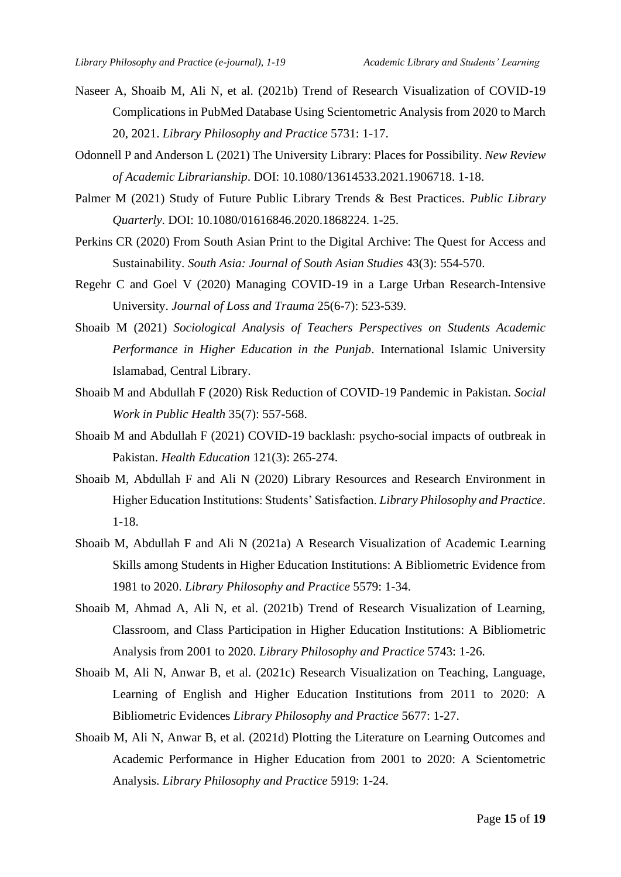- Naseer A, Shoaib M, Ali N, et al. (2021b) Trend of Research Visualization of COVID-19 Complications in PubMed Database Using Scientometric Analysis from 2020 to March 20, 2021. *Library Philosophy and Practice* 5731: 1-17.
- Odonnell P and Anderson L (2021) The University Library: Places for Possibility. *New Review of Academic Librarianship*. DOI: 10.1080/13614533.2021.1906718. 1-18.
- Palmer M (2021) Study of Future Public Library Trends & Best Practices. *Public Library Quarterly*. DOI: 10.1080/01616846.2020.1868224. 1-25.
- Perkins CR (2020) From South Asian Print to the Digital Archive: The Quest for Access and Sustainability. *South Asia: Journal of South Asian Studies* 43(3): 554-570.
- Regehr C and Goel V (2020) Managing COVID-19 in a Large Urban Research-Intensive University. *Journal of Loss and Trauma* 25(6-7): 523-539.
- Shoaib M (2021) *Sociological Analysis of Teachers Perspectives on Students Academic Performance in Higher Education in the Punjab*. International Islamic University Islamabad, Central Library.
- Shoaib M and Abdullah F (2020) Risk Reduction of COVID-19 Pandemic in Pakistan. *Social Work in Public Health* 35(7): 557-568.
- Shoaib M and Abdullah F (2021) COVID-19 backlash: psycho-social impacts of outbreak in Pakistan. *Health Education* 121(3): 265-274.
- Shoaib M, Abdullah F and Ali N (2020) Library Resources and Research Environment in Higher Education Institutions: Students' Satisfaction. *Library Philosophy and Practice*. 1-18.
- Shoaib M, Abdullah F and Ali N (2021a) A Research Visualization of Academic Learning Skills among Students in Higher Education Institutions: A Bibliometric Evidence from 1981 to 2020. *Library Philosophy and Practice* 5579: 1-34.
- Shoaib M, Ahmad A, Ali N, et al. (2021b) Trend of Research Visualization of Learning, Classroom, and Class Participation in Higher Education Institutions: A Bibliometric Analysis from 2001 to 2020. *Library Philosophy and Practice* 5743: 1-26.
- Shoaib M, Ali N, Anwar B, et al. (2021c) Research Visualization on Teaching, Language, Learning of English and Higher Education Institutions from 2011 to 2020: A Bibliometric Evidences *Library Philosophy and Practice* 5677: 1-27.
- Shoaib M, Ali N, Anwar B, et al. (2021d) Plotting the Literature on Learning Outcomes and Academic Performance in Higher Education from 2001 to 2020: A Scientometric Analysis. *Library Philosophy and Practice* 5919: 1-24.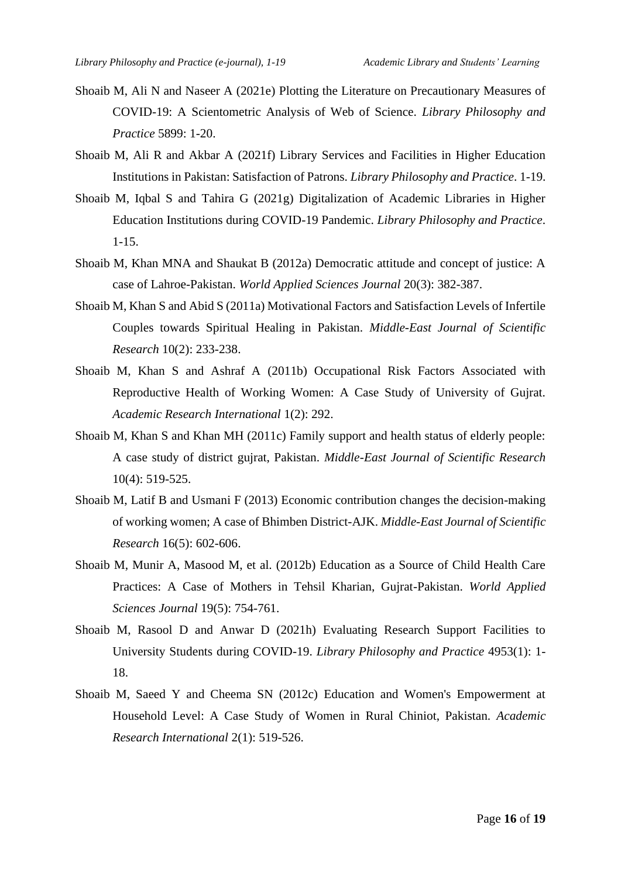- Shoaib M, Ali N and Naseer A (2021e) Plotting the Literature on Precautionary Measures of COVID-19: A Scientometric Analysis of Web of Science. *Library Philosophy and Practice* 5899: 1-20.
- Shoaib M, Ali R and Akbar A (2021f) Library Services and Facilities in Higher Education Institutions in Pakistan: Satisfaction of Patrons. *Library Philosophy and Practice*. 1-19.
- Shoaib M, Iqbal S and Tahira G (2021g) Digitalization of Academic Libraries in Higher Education Institutions during COVID-19 Pandemic. *Library Philosophy and Practice*. 1-15.
- Shoaib M, Khan MNA and Shaukat B (2012a) Democratic attitude and concept of justice: A case of Lahroe-Pakistan. *World Applied Sciences Journal* 20(3): 382-387.
- Shoaib M, Khan S and Abid S (2011a) Motivational Factors and Satisfaction Levels of Infertile Couples towards Spiritual Healing in Pakistan. *Middle-East Journal of Scientific Research* 10(2): 233-238.
- Shoaib M, Khan S and Ashraf A (2011b) Occupational Risk Factors Associated with Reproductive Health of Working Women: A Case Study of University of Gujrat. *Academic Research International* 1(2): 292.
- Shoaib M, Khan S and Khan MH (2011c) Family support and health status of elderly people: A case study of district gujrat, Pakistan. *Middle-East Journal of Scientific Research* 10(4): 519-525.
- Shoaib M, Latif B and Usmani F (2013) Economic contribution changes the decision-making of working women; A case of Bhimben District-AJK. *Middle-East Journal of Scientific Research* 16(5): 602-606.
- Shoaib M, Munir A, Masood M, et al. (2012b) Education as a Source of Child Health Care Practices: A Case of Mothers in Tehsil Kharian, Gujrat-Pakistan. *World Applied Sciences Journal* 19(5): 754-761.
- Shoaib M, Rasool D and Anwar D (2021h) Evaluating Research Support Facilities to University Students during COVID-19. *Library Philosophy and Practice* 4953(1): 1- 18.
- Shoaib M, Saeed Y and Cheema SN (2012c) Education and Women's Empowerment at Household Level: A Case Study of Women in Rural Chiniot, Pakistan. *Academic Research International* 2(1): 519-526.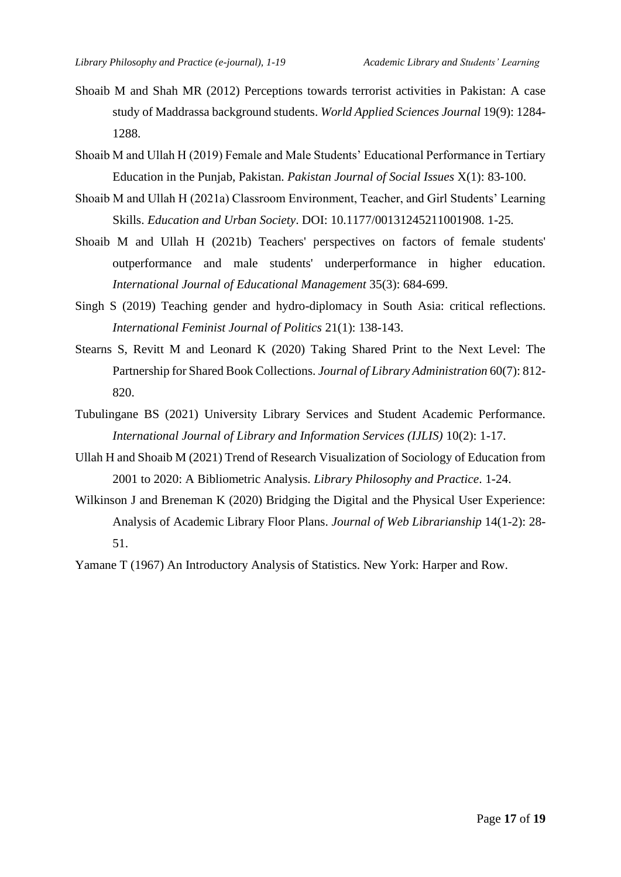- Shoaib M and Shah MR (2012) Perceptions towards terrorist activities in Pakistan: A case study of Maddrassa background students. *World Applied Sciences Journal* 19(9): 1284- 1288.
- Shoaib M and Ullah H (2019) Female and Male Students' Educational Performance in Tertiary Education in the Punjab, Pakistan. *Pakistan Journal of Social Issues* X(1): 83-100.
- Shoaib M and Ullah H (2021a) Classroom Environment, Teacher, and Girl Students' Learning Skills. *Education and Urban Society*. DOI: 10.1177/00131245211001908. 1-25.
- Shoaib M and Ullah H (2021b) Teachers' perspectives on factors of female students' outperformance and male students' underperformance in higher education. *International Journal of Educational Management* 35(3): 684-699.
- Singh S (2019) Teaching gender and hydro-diplomacy in South Asia: critical reflections. *International Feminist Journal of Politics* 21(1): 138-143.
- Stearns S, Revitt M and Leonard K (2020) Taking Shared Print to the Next Level: The Partnership for Shared Book Collections. *Journal of Library Administration* 60(7): 812- 820.
- Tubulingane BS (2021) University Library Services and Student Academic Performance. *International Journal of Library and Information Services (IJLIS)* 10(2): 1-17.
- Ullah H and Shoaib M (2021) Trend of Research Visualization of Sociology of Education from 2001 to 2020: A Bibliometric Analysis. *Library Philosophy and Practice*. 1-24.
- Wilkinson J and Breneman K (2020) Bridging the Digital and the Physical User Experience: Analysis of Academic Library Floor Plans. *Journal of Web Librarianship* 14(1-2): 28- 51.

Yamane T (1967) An Introductory Analysis of Statistics. New York: Harper and Row.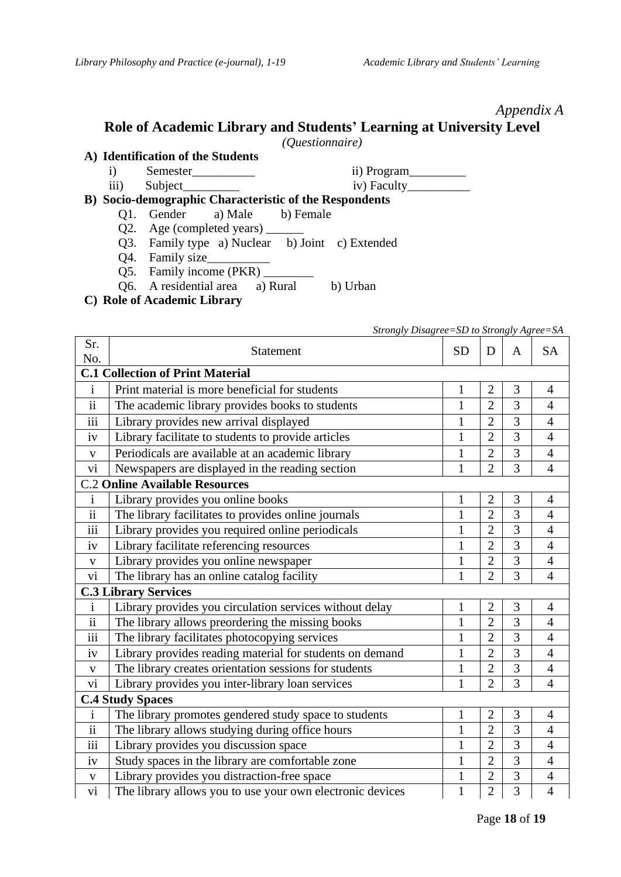#### *Appendix A*

## **Role of Academic Library and Students' Learning at University Level**

*(Questionnaire)*

**A) Identification of the Students**

i) Semester\_\_\_\_\_\_\_\_\_\_\_\_\_\_ ii) Program\_\_\_\_\_\_\_\_\_\_\_

iii) Subject\_\_\_\_\_\_\_\_\_ iv) Faculty\_\_\_\_\_\_\_\_\_\_

# **B) Socio-demographic Characteristic of the Respondents**

- a) Male b) Female
- Q2. Age (completed years)  $\_\_$
- Q3. Family type a) Nuclear b) Joint c) Extended
- Q4. Family size\_
- Q5. Family income (PKR)
- Q6. A residential area a) Rural b) Urban
- **C) Role of Academic Library**

## *Strongly Disagree=SD to Strongly Agree=SA*

| Sr.<br>No.               | Statement                                                 | <b>SD</b>    | D              | A              | <b>SA</b>      |  |  |  |  |
|--------------------------|-----------------------------------------------------------|--------------|----------------|----------------|----------------|--|--|--|--|
|                          | <b>C.1 Collection of Print Material</b>                   |              |                |                |                |  |  |  |  |
| $\mathbf{i}$             | Print material is more beneficial for students            | $\mathbf{1}$ | $\overline{2}$ | 3              | $\overline{4}$ |  |  |  |  |
| ii                       | The academic library provides books to students           | $\mathbf{1}$ | $\overline{2}$ | 3              | $\overline{4}$ |  |  |  |  |
| $\overline{iii}$         | Library provides new arrival displayed                    | $\mathbf{1}$ | $\overline{2}$ | 3              | $\overline{4}$ |  |  |  |  |
| iv                       | Library facilitate to students to provide articles        | $\mathbf{1}$ | $\overline{2}$ | 3              | $\overline{4}$ |  |  |  |  |
| $\mathbf{V}$             | Periodicals are available at an academic library          | $\mathbf{1}$ | $\overline{2}$ | 3              | $\overline{4}$ |  |  |  |  |
| vi                       | Newspapers are displayed in the reading section           | $\mathbf{1}$ | $\overline{2}$ | 3              | $\overline{4}$ |  |  |  |  |
|                          | <b>C.2 Online Available Resources</b>                     |              |                |                |                |  |  |  |  |
| $\mathbf{i}$             | Library provides you online books                         | $\mathbf{1}$ | $\overline{2}$ | 3              | 4              |  |  |  |  |
| $\overline{\textbf{ii}}$ | The library facilitates to provides online journals       | $\mathbf{1}$ | $\overline{2}$ | $\overline{3}$ | $\overline{4}$ |  |  |  |  |
| iii                      | Library provides you required online periodicals          | 1            | $\overline{2}$ | 3              | $\overline{4}$ |  |  |  |  |
| iv                       | Library facilitate referencing resources                  | $\mathbf{1}$ | $\overline{2}$ | $\overline{3}$ | $\overline{4}$ |  |  |  |  |
| $\mathbf V$              | Library provides you online newspaper                     | $\mathbf{1}$ | $\overline{2}$ | 3              | $\overline{4}$ |  |  |  |  |
| vi                       | The library has an online catalog facility                | $\mathbf{1}$ | $\overline{2}$ | 3              | $\overline{4}$ |  |  |  |  |
|                          | <b>C.3 Library Services</b>                               |              |                |                |                |  |  |  |  |
| $\mathbf{i}$             | Library provides you circulation services without delay   | $\mathbf{1}$ | $\overline{2}$ | 3              | $\overline{4}$ |  |  |  |  |
| $\mathbf{ii}$            | The library allows preordering the missing books          | $\mathbf{1}$ | $\overline{2}$ | 3              | $\overline{4}$ |  |  |  |  |
| iii                      | The library facilitates photocopying services             | $\mathbf{1}$ | $\overline{2}$ | 3              | $\overline{4}$ |  |  |  |  |
| iv                       | Library provides reading material for students on demand  | $\mathbf{1}$ | $\overline{2}$ | 3              | $\overline{4}$ |  |  |  |  |
| $\mathbf{V}$             | The library creates orientation sessions for students     | $\mathbf{1}$ | $\overline{2}$ | 3              | $\overline{4}$ |  |  |  |  |
| vi                       | Library provides you inter-library loan services          | $\mathbf{1}$ | $\overline{2}$ | 3              | $\overline{4}$ |  |  |  |  |
| <b>C.4 Study Spaces</b>  |                                                           |              |                |                |                |  |  |  |  |
| $\mathbf{i}$             | The library promotes gendered study space to students     | $\mathbf{1}$ | $\overline{2}$ | 3              | 4              |  |  |  |  |
| $\overline{\textbf{ii}}$ | The library allows studying during office hours           | $\mathbf{1}$ | $\overline{2}$ | 3              | 4              |  |  |  |  |
| iii                      | Library provides you discussion space                     | $\mathbf{1}$ | $\overline{2}$ | 3              | $\overline{4}$ |  |  |  |  |
| iv                       | Study spaces in the library are comfortable zone          | $\mathbf{1}$ | $\overline{2}$ | 3              | $\overline{4}$ |  |  |  |  |
| $\mathbf{V}$             | Library provides you distraction-free space               | $\mathbf{1}$ | $\overline{2}$ | 3              | $\overline{4}$ |  |  |  |  |
| vi                       | The library allows you to use your own electronic devices | $\mathbf{1}$ | $\overline{2}$ | 3              | $\overline{4}$ |  |  |  |  |